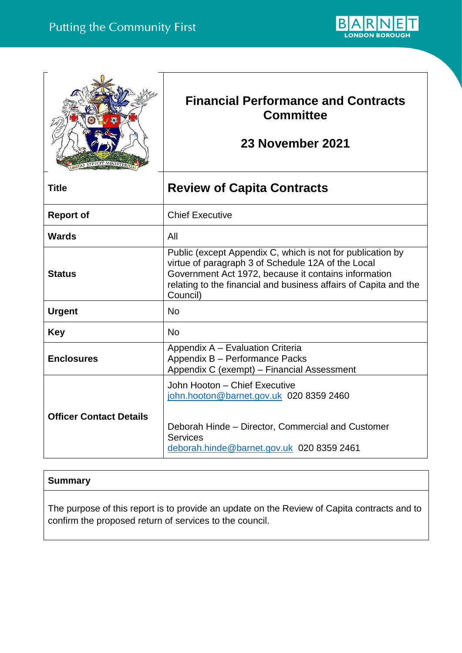

|                                | <b>Financial Performance and Contracts</b><br><b>Committee</b><br>23 November 2021                                                                                                                                                                       |
|--------------------------------|----------------------------------------------------------------------------------------------------------------------------------------------------------------------------------------------------------------------------------------------------------|
| <b>Title</b>                   | <b>Review of Capita Contracts</b>                                                                                                                                                                                                                        |
| <b>Report of</b>               | <b>Chief Executive</b>                                                                                                                                                                                                                                   |
| <b>Wards</b>                   | All                                                                                                                                                                                                                                                      |
| <b>Status</b>                  | Public (except Appendix C, which is not for publication by<br>virtue of paragraph 3 of Schedule 12A of the Local<br>Government Act 1972, because it contains information<br>relating to the financial and business affairs of Capita and the<br>Council) |
| <b>Urgent</b>                  | <b>No</b>                                                                                                                                                                                                                                                |
| <b>Key</b>                     | <b>No</b>                                                                                                                                                                                                                                                |
| <b>Enclosures</b>              | Appendix A - Evaluation Criteria<br>Appendix B - Performance Packs<br>Appendix C (exempt) - Financial Assessment                                                                                                                                         |
| <b>Officer Contact Details</b> | John Hooton - Chief Executive<br>john.hooton@barnet.gov.uk 020 8359 2460<br>Deborah Hinde - Director, Commercial and Customer<br><b>Services</b><br>deborah.hinde@barnet.gov.uk 020 8359 2461                                                            |

# **Summary**

The purpose of this report is to provide an update on the Review of Capita contracts and to confirm the proposed return of services to the council.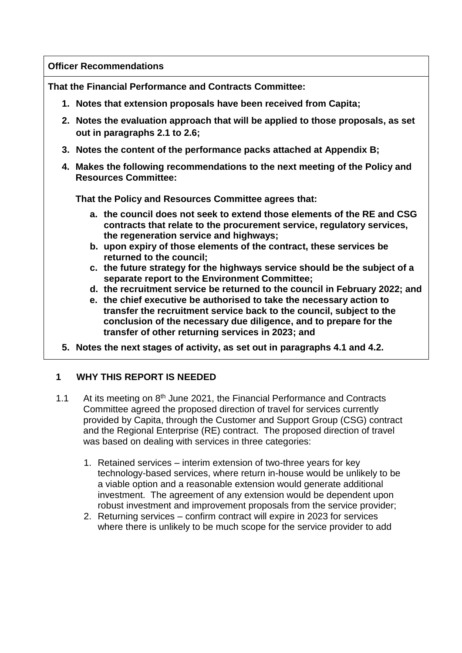**Officer Recommendations** 

**That the Financial Performance and Contracts Committee:**

- **1. Notes that extension proposals have been received from Capita;**
- **2. Notes the evaluation approach that will be applied to those proposals, as set out in paragraphs 2.1 to 2.6;**
- **3. Notes the content of the performance packs attached at Appendix B;**
- **4. Makes the following recommendations to the next meeting of the Policy and Resources Committee:**

**That the Policy and Resources Committee agrees that:**

- **a. the council does not seek to extend those elements of the RE and CSG contracts that relate to the procurement service, regulatory services, the regeneration service and highways;**
- **b. upon expiry of those elements of the contract, these services be returned to the council;**
- **c. the future strategy for the highways service should be the subject of a separate report to the Environment Committee;**
- **d. the recruitment service be returned to the council in February 2022; and**
- **e. the chief executive be authorised to take the necessary action to transfer the recruitment service back to the council, subject to the conclusion of the necessary due diligence, and to prepare for the transfer of other returning services in 2023; and**
- **5. Notes the next stages of activity, as set out in paragraphs 4.1 and 4.2.**

## **1 WHY THIS REPORT IS NEEDED**

- 1.1 At its meeting on 8<sup>th</sup> June 2021, the Financial Performance and Contracts Committee agreed the proposed direction of travel for services currently provided by Capita, through the Customer and Support Group (CSG) contract and the Regional Enterprise (RE) contract. The proposed direction of travel was based on dealing with services in three categories:
	- 1. Retained services interim extension of two-three years for key technology-based services, where return in-house would be unlikely to be a viable option and a reasonable extension would generate additional investment. The agreement of any extension would be dependent upon robust investment and improvement proposals from the service provider;
	- 2. Returning services confirm contract will expire in 2023 for services where there is unlikely to be much scope for the service provider to add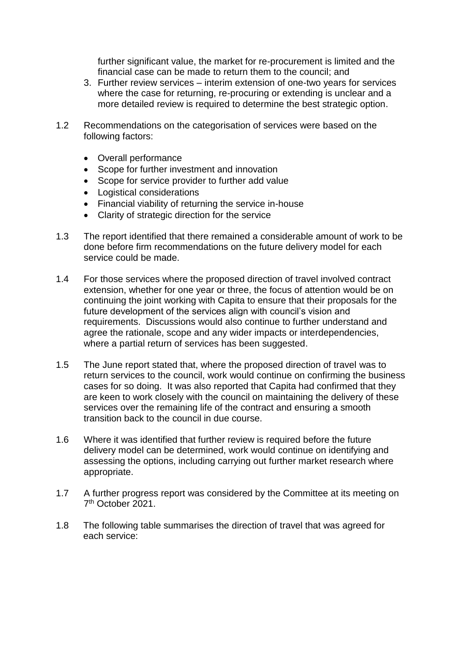further significant value, the market for re-procurement is limited and the financial case can be made to return them to the council; and

- 3. Further review services interim extension of one-two years for services where the case for returning, re-procuring or extending is unclear and a more detailed review is required to determine the best strategic option.
- 1.2 Recommendations on the categorisation of services were based on the following factors:
	- Overall performance
	- Scope for further investment and innovation
	- Scope for service provider to further add value
	- Logistical considerations
	- Financial viability of returning the service in-house
	- Clarity of strategic direction for the service
- 1.3 The report identified that there remained a considerable amount of work to be done before firm recommendations on the future delivery model for each service could be made.
- 1.4 For those services where the proposed direction of travel involved contract extension, whether for one year or three, the focus of attention would be on continuing the joint working with Capita to ensure that their proposals for the future development of the services align with council's vision and requirements. Discussions would also continue to further understand and agree the rationale, scope and any wider impacts or interdependencies, where a partial return of services has been suggested.
- 1.5 The June report stated that, where the proposed direction of travel was to return services to the council, work would continue on confirming the business cases for so doing. It was also reported that Capita had confirmed that they are keen to work closely with the council on maintaining the delivery of these services over the remaining life of the contract and ensuring a smooth transition back to the council in due course.
- 1.6 Where it was identified that further review is required before the future delivery model can be determined, work would continue on identifying and assessing the options, including carrying out further market research where appropriate.
- 1.7 A further progress report was considered by the Committee at its meeting on 7 th October 2021.
- 1.8 The following table summarises the direction of travel that was agreed for each service: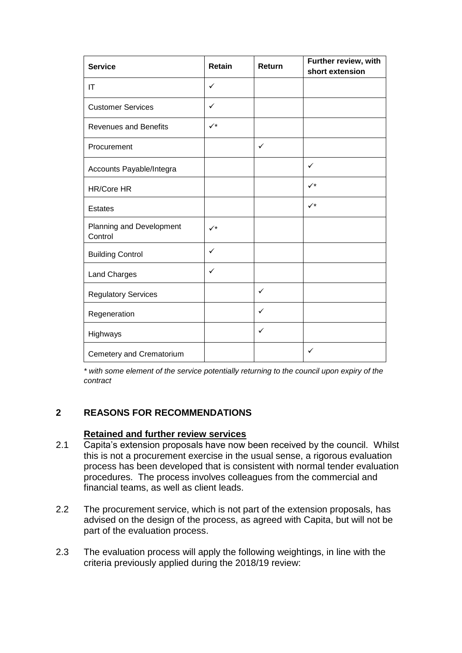| <b>Service</b>                      | <b>Retain</b>        | Return       | Further review, with<br>short extension |
|-------------------------------------|----------------------|--------------|-----------------------------------------|
| ΙT                                  | ✓                    |              |                                         |
| <b>Customer Services</b>            | ✓                    |              |                                         |
| <b>Revenues and Benefits</b>        | $\checkmark^{\star}$ |              |                                         |
| Procurement                         |                      | $\checkmark$ |                                         |
| Accounts Payable/Integra            |                      |              | $\checkmark$                            |
| <b>HR/Core HR</b>                   |                      |              | $\checkmark$                            |
| <b>Estates</b>                      |                      |              | $\checkmark$                            |
| Planning and Development<br>Control | $\checkmark$         |              |                                         |
| <b>Building Control</b>             | $\checkmark$         |              |                                         |
| Land Charges                        | ✓                    |              |                                         |
| <b>Regulatory Services</b>          |                      | ✓            |                                         |
| Regeneration                        |                      | ✓            |                                         |
| Highways                            |                      | ✓            |                                         |
| Cemetery and Crematorium            |                      |              | ✓                                       |

*\* with some element of the service potentially returning to the council upon expiry of the contract*

### **2 REASONS FOR RECOMMENDATIONS**

#### **Retained and further review services**

- 2.1 Capita's extension proposals have now been received by the council. Whilst this is not a procurement exercise in the usual sense, a rigorous evaluation process has been developed that is consistent with normal tender evaluation procedures. The process involves colleagues from the commercial and financial teams, as well as client leads.
- 2.2 The procurement service, which is not part of the extension proposals, has advised on the design of the process, as agreed with Capita, but will not be part of the evaluation process.
- 2.3 The evaluation process will apply the following weightings, in line with the criteria previously applied during the 2018/19 review: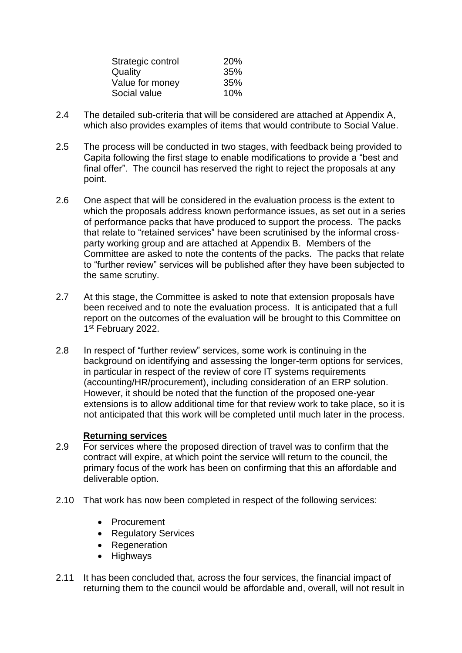| Strategic control | 20% |
|-------------------|-----|
| Quality           | 35% |
| Value for money   | 35% |
| Social value      | 10% |

- 2.4 The detailed sub-criteria that will be considered are attached at Appendix A, which also provides examples of items that would contribute to Social Value.
- 2.5 The process will be conducted in two stages, with feedback being provided to Capita following the first stage to enable modifications to provide a "best and final offer". The council has reserved the right to reject the proposals at any point.
- 2.6 One aspect that will be considered in the evaluation process is the extent to which the proposals address known performance issues, as set out in a series of performance packs that have produced to support the process. The packs that relate to "retained services" have been scrutinised by the informal crossparty working group and are attached at Appendix B. Members of the Committee are asked to note the contents of the packs. The packs that relate to "further review" services will be published after they have been subjected to the same scrutiny.
- 2.7 At this stage, the Committee is asked to note that extension proposals have been received and to note the evaluation process. It is anticipated that a full report on the outcomes of the evaluation will be brought to this Committee on 1st February 2022.
- 2.8 In respect of "further review" services, some work is continuing in the background on identifying and assessing the longer-term options for services, in particular in respect of the review of core IT systems requirements (accounting/HR/procurement), including consideration of an ERP solution. However, it should be noted that the function of the proposed one-year extensions is to allow additional time for that review work to take place, so it is not anticipated that this work will be completed until much later in the process.

#### **Returning services**

- 2.9 For services where the proposed direction of travel was to confirm that the contract will expire, at which point the service will return to the council, the primary focus of the work has been on confirming that this an affordable and deliverable option.
- 2.10 That work has now been completed in respect of the following services:
	- Procurement
	- Regulatory Services
	- Regeneration
	- Highways
- 2.11 It has been concluded that, across the four services, the financial impact of returning them to the council would be affordable and, overall, will not result in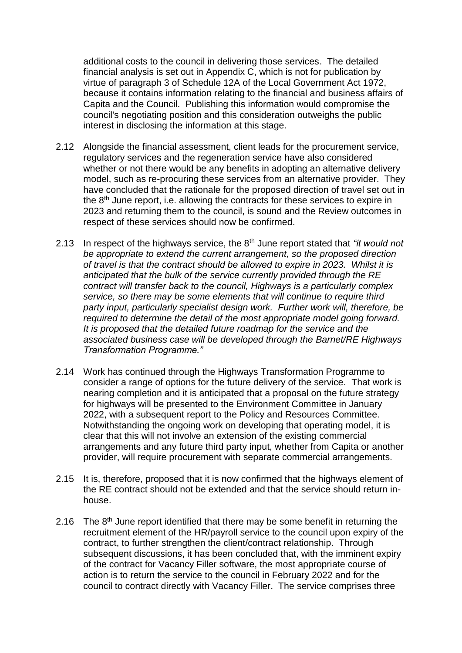additional costs to the council in delivering those services. The detailed financial analysis is set out in Appendix C, which is not for publication by virtue of paragraph 3 of Schedule 12A of the Local Government Act 1972, because it contains information relating to the financial and business affairs of Capita and the Council. Publishing this information would compromise the council's negotiating position and this consideration outweighs the public interest in disclosing the information at this stage.

- 2.12 Alongside the financial assessment, client leads for the procurement service, regulatory services and the regeneration service have also considered whether or not there would be any benefits in adopting an alternative delivery model, such as re-procuring these services from an alternative provider. They have concluded that the rationale for the proposed direction of travel set out in the 8<sup>th</sup> June report, i.e. allowing the contracts for these services to expire in 2023 and returning them to the council, is sound and the Review outcomes in respect of these services should now be confirmed.
- 2.13 In respect of the highways service, the 8th June report stated that *"it would not be appropriate to extend the current arrangement, so the proposed direction of travel is that the contract should be allowed to expire in 2023. Whilst it is anticipated that the bulk of the service currently provided through the RE contract will transfer back to the council, Highways is a particularly complex service, so there may be some elements that will continue to require third party input, particularly specialist design work. Further work will, therefore, be required to determine the detail of the most appropriate model going forward. It is proposed that the detailed future roadmap for the service and the associated business case will be developed through the Barnet/RE Highways Transformation Programme."*
- 2.14 Work has continued through the Highways Transformation Programme to consider a range of options for the future delivery of the service. That work is nearing completion and it is anticipated that a proposal on the future strategy for highways will be presented to the Environment Committee in January 2022, with a subsequent report to the Policy and Resources Committee. Notwithstanding the ongoing work on developing that operating model, it is clear that this will not involve an extension of the existing commercial arrangements and any future third party input, whether from Capita or another provider, will require procurement with separate commercial arrangements.
- 2.15 It is, therefore, proposed that it is now confirmed that the highways element of the RE contract should not be extended and that the service should return inhouse.
- 2.16 The  $8<sup>th</sup>$  June report identified that there may be some benefit in returning the recruitment element of the HR/payroll service to the council upon expiry of the contract, to further strengthen the client/contract relationship. Through subsequent discussions, it has been concluded that, with the imminent expiry of the contract for Vacancy Filler software, the most appropriate course of action is to return the service to the council in February 2022 and for the council to contract directly with Vacancy Filler. The service comprises three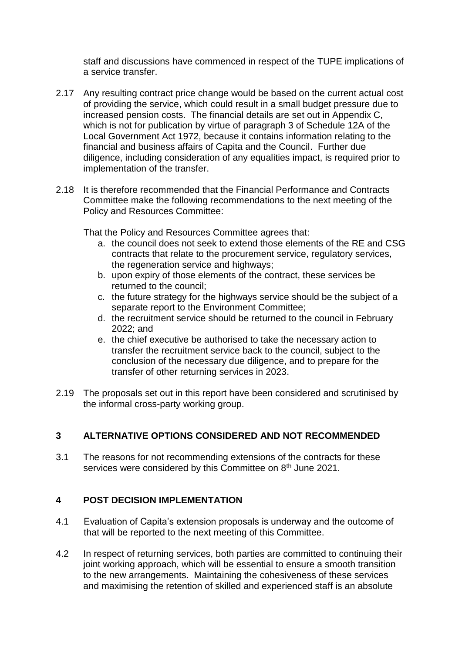staff and discussions have commenced in respect of the TUPE implications of a service transfer.

- 2.17 Any resulting contract price change would be based on the current actual cost of providing the service, which could result in a small budget pressure due to increased pension costs. The financial details are set out in Appendix C, which is not for publication by virtue of paragraph 3 of Schedule 12A of the Local Government Act 1972, because it contains information relating to the financial and business affairs of Capita and the Council. Further due diligence, including consideration of any equalities impact, is required prior to implementation of the transfer.
- 2.18 It is therefore recommended that the Financial Performance and Contracts Committee make the following recommendations to the next meeting of the Policy and Resources Committee:

That the Policy and Resources Committee agrees that:

- a. the council does not seek to extend those elements of the RE and CSG contracts that relate to the procurement service, regulatory services, the regeneration service and highways;
- b. upon expiry of those elements of the contract, these services be returned to the council;
- c. the future strategy for the highways service should be the subject of a separate report to the Environment Committee;
- d. the recruitment service should be returned to the council in February 2022; and
- e. the chief executive be authorised to take the necessary action to transfer the recruitment service back to the council, subject to the conclusion of the necessary due diligence, and to prepare for the transfer of other returning services in 2023.
- 2.19 The proposals set out in this report have been considered and scrutinised by the informal cross-party working group.

### **3 ALTERNATIVE OPTIONS CONSIDERED AND NOT RECOMMENDED**

3.1 The reasons for not recommending extensions of the contracts for these services were considered by this Committee on 8<sup>th</sup> June 2021.

#### **4 POST DECISION IMPLEMENTATION**

- 4.1 Evaluation of Capita's extension proposals is underway and the outcome of that will be reported to the next meeting of this Committee.
- 4.2 In respect of returning services, both parties are committed to continuing their joint working approach, which will be essential to ensure a smooth transition to the new arrangements. Maintaining the cohesiveness of these services and maximising the retention of skilled and experienced staff is an absolute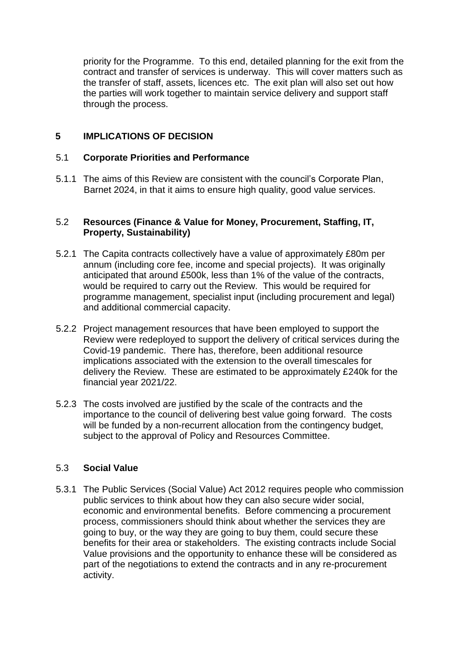priority for the Programme. To this end, detailed planning for the exit from the contract and transfer of services is underway. This will cover matters such as the transfer of staff, assets, licences etc. The exit plan will also set out how the parties will work together to maintain service delivery and support staff through the process.

### **5 IMPLICATIONS OF DECISION**

#### 5.1 **Corporate Priorities and Performance**

5.1.1 The aims of this Review are consistent with the council's Corporate Plan, Barnet 2024, in that it aims to ensure high quality, good value services.

#### 5.2 **Resources (Finance & Value for Money, Procurement, Staffing, IT, Property, Sustainability)**

- 5.2.1 The Capita contracts collectively have a value of approximately £80m per annum (including core fee, income and special projects). It was originally anticipated that around £500k, less than 1% of the value of the contracts, would be required to carry out the Review. This would be required for programme management, specialist input (including procurement and legal) and additional commercial capacity.
- 5.2.2 Project management resources that have been employed to support the Review were redeployed to support the delivery of critical services during the Covid-19 pandemic. There has, therefore, been additional resource implications associated with the extension to the overall timescales for delivery the Review. These are estimated to be approximately £240k for the financial year 2021/22.
- 5.2.3 The costs involved are justified by the scale of the contracts and the importance to the council of delivering best value going forward. The costs will be funded by a non-recurrent allocation from the contingency budget, subject to the approval of Policy and Resources Committee.

### 5.3 **Social Value**

5.3.1 The Public Services (Social Value) Act 2012 requires people who commission public services to think about how they can also secure wider social, economic and environmental benefits. Before commencing a procurement process, commissioners should think about whether the services they are going to buy, or the way they are going to buy them, could secure these benefits for their area or stakeholders. The existing contracts include Social Value provisions and the opportunity to enhance these will be considered as part of the negotiations to extend the contracts and in any re-procurement activity.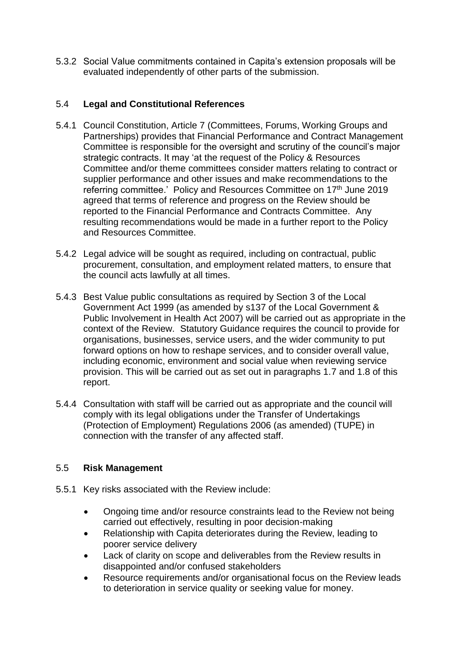5.3.2 Social Value commitments contained in Capita's extension proposals will be evaluated independently of other parts of the submission.

### 5.4 **Legal and Constitutional References**

- 5.4.1 Council Constitution, Article 7 (Committees, Forums, Working Groups and Partnerships) provides that Financial Performance and Contract Management Committee is responsible for the oversight and scrutiny of the council's major strategic contracts. It may 'at the request of the Policy & Resources Committee and/or theme committees consider matters relating to contract or supplier performance and other issues and make recommendations to the referring committee.' Policy and Resources Committee on 17<sup>th</sup> June 2019 agreed that terms of reference and progress on the Review should be reported to the Financial Performance and Contracts Committee. Any resulting recommendations would be made in a further report to the Policy and Resources Committee.
- 5.4.2 Legal advice will be sought as required, including on contractual, public procurement, consultation, and employment related matters, to ensure that the council acts lawfully at all times.
- 5.4.3 Best Value public consultations as required by Section 3 of the Local Government Act 1999 (as amended by s137 of the Local Government & Public Involvement in Health Act 2007) will be carried out as appropriate in the context of the Review. Statutory Guidance requires the council to provide for organisations, businesses, service users, and the wider community to put forward options on how to reshape services, and to consider overall value, including economic, environment and social value when reviewing service provision. This will be carried out as set out in paragraphs 1.7 and 1.8 of this report.
- 5.4.4 Consultation with staff will be carried out as appropriate and the council will comply with its legal obligations under the Transfer of Undertakings (Protection of Employment) Regulations 2006 (as amended) (TUPE) in connection with the transfer of any affected staff.

### 5.5 **Risk Management**

- 5.5.1 Key risks associated with the Review include:
	- Ongoing time and/or resource constraints lead to the Review not being carried out effectively, resulting in poor decision-making
	- Relationship with Capita deteriorates during the Review, leading to poorer service delivery
	- Lack of clarity on scope and deliverables from the Review results in disappointed and/or confused stakeholders
	- Resource requirements and/or organisational focus on the Review leads to deterioration in service quality or seeking value for money.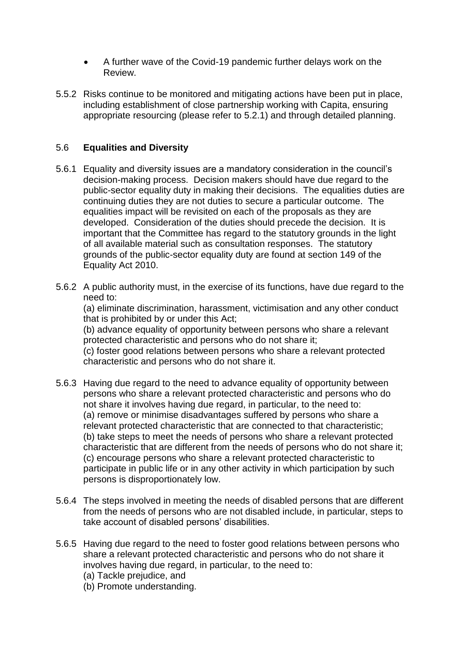- A further wave of the Covid-19 pandemic further delays work on the Review.
- 5.5.2 Risks continue to be monitored and mitigating actions have been put in place, including establishment of close partnership working with Capita, ensuring appropriate resourcing (please refer to 5.2.1) and through detailed planning.

### 5.6 **Equalities and Diversity**

- 5.6.1 Equality and diversity issues are a mandatory consideration in the council's decision-making process. Decision makers should have due regard to the public-sector equality duty in making their decisions. The equalities duties are continuing duties they are not duties to secure a particular outcome. The equalities impact will be revisited on each of the proposals as they are developed. Consideration of the duties should precede the decision. It is important that the Committee has regard to the statutory grounds in the light of all available material such as consultation responses. The statutory grounds of the public-sector equality duty are found at section 149 of the Equality Act 2010.
- 5.6.2 A public authority must, in the exercise of its functions, have due regard to the need to:

(a) eliminate discrimination, harassment, victimisation and any other conduct that is prohibited by or under this Act;

(b) advance equality of opportunity between persons who share a relevant protected characteristic and persons who do not share it;

(c) foster good relations between persons who share a relevant protected characteristic and persons who do not share it.

- 5.6.3 Having due regard to the need to advance equality of opportunity between persons who share a relevant protected characteristic and persons who do not share it involves having due regard, in particular, to the need to: (a) remove or minimise disadvantages suffered by persons who share a relevant protected characteristic that are connected to that characteristic; (b) take steps to meet the needs of persons who share a relevant protected characteristic that are different from the needs of persons who do not share it; (c) encourage persons who share a relevant protected characteristic to participate in public life or in any other activity in which participation by such persons is disproportionately low.
- 5.6.4 The steps involved in meeting the needs of disabled persons that are different from the needs of persons who are not disabled include, in particular, steps to take account of disabled persons' disabilities.
- 5.6.5 Having due regard to the need to foster good relations between persons who share a relevant protected characteristic and persons who do not share it involves having due regard, in particular, to the need to:
	- (a) Tackle prejudice, and
	- (b) Promote understanding.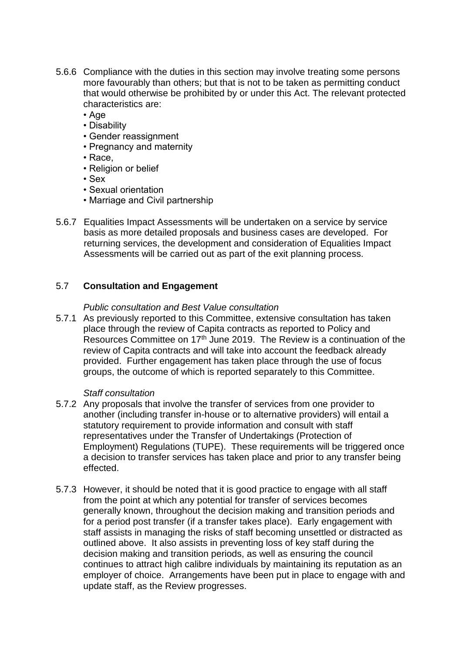- 5.6.6 Compliance with the duties in this section may involve treating some persons more favourably than others; but that is not to be taken as permitting conduct that would otherwise be prohibited by or under this Act. The relevant protected characteristics are:
	- Age
	- Disability
	- Gender reassignment
	- Pregnancy and maternity
	- Race,
	- Religion or belief
	- Sex
	- Sexual orientation
	- Marriage and Civil partnership
- 5.6.7 Equalities Impact Assessments will be undertaken on a service by service basis as more detailed proposals and business cases are developed. For returning services, the development and consideration of Equalities Impact Assessments will be carried out as part of the exit planning process.

#### 5.7 **Consultation and Engagement**

#### *Public consultation and Best Value consultation*

5.7.1 As previously reported to this Committee, extensive consultation has taken place through the review of Capita contracts as reported to Policy and Resources Committee on 17<sup>th</sup> June 2019. The Review is a continuation of the review of Capita contracts and will take into account the feedback already provided. Further engagement has taken place through the use of focus groups, the outcome of which is reported separately to this Committee.

#### *Staff consultation*

- 5.7.2 Any proposals that involve the transfer of services from one provider to another (including transfer in-house or to alternative providers) will entail a statutory requirement to provide information and consult with staff representatives under the Transfer of Undertakings (Protection of Employment) Regulations (TUPE). These requirements will be triggered once a decision to transfer services has taken place and prior to any transfer being effected.
- 5.7.3 However, it should be noted that it is good practice to engage with all staff from the point at which any potential for transfer of services becomes generally known, throughout the decision making and transition periods and for a period post transfer (if a transfer takes place). Early engagement with staff assists in managing the risks of staff becoming unsettled or distracted as outlined above. It also assists in preventing loss of key staff during the decision making and transition periods, as well as ensuring the council continues to attract high calibre individuals by maintaining its reputation as an employer of choice. Arrangements have been put in place to engage with and update staff, as the Review progresses.